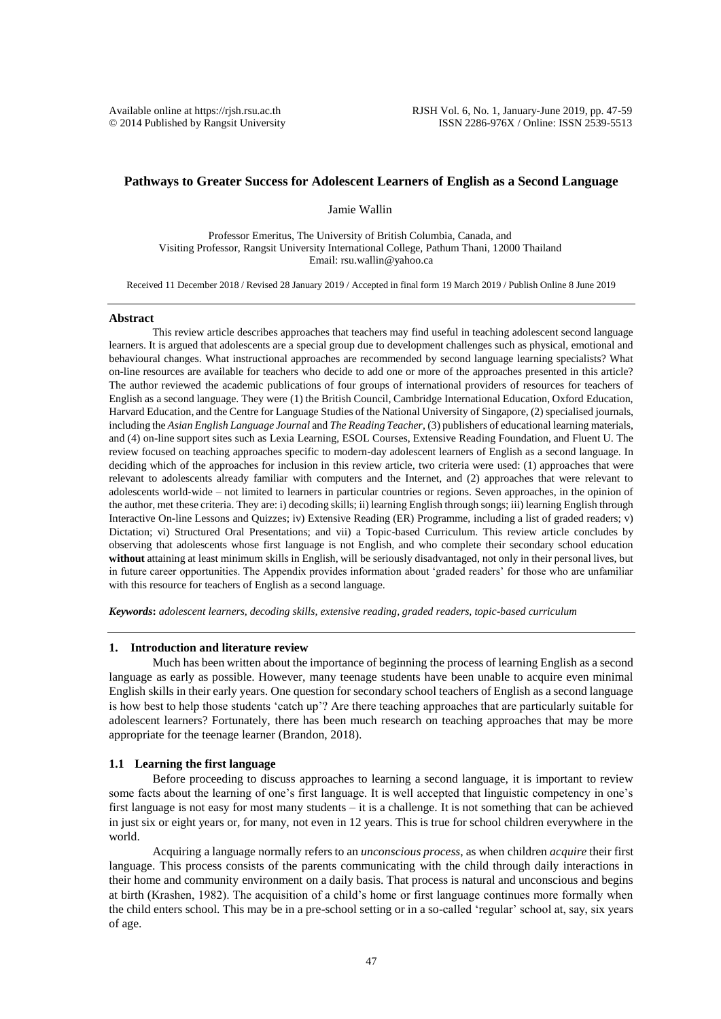$© 2014$  Published by Rangsit University

# **Pathways to Greater Success for Adolescent Learners of English as a Second Language**

Jamie Wallin

Professor Emeritus, The University of British Columbia, Canada, and Visiting Professor, Rangsit University International College, Pathum Thani, 12000 Thailand Email: rsu.wallin@yahoo.ca

Received 11 December 2018 / Revised 28 January 2019 / Accepted in final form 19 March 2019 / Publish Online 8 June 2019

#### **Abstract**

This review article describes approaches that teachers may find useful in teaching adolescent second language learners. It is argued that adolescents are a special group due to development challenges such as physical, emotional and behavioural changes. What instructional approaches are recommended by second language learning specialists? What on-line resources are available for teachers who decide to add one or more of the approaches presented in this article? The author reviewed the academic publications of four groups of international providers of resources for teachers of English as a second language. They were (1) the British Council, Cambridge International Education, Oxford Education, Harvard Education, and the Centre for Language Studies of the National University of Singapore, (2) specialised journals, including the *Asian English Language Journal* and *The Reading Teacher*, (3) publishers of educational learning materials, and (4) on-line support sites such as Lexia Learning, ESOL Courses, Extensive Reading Foundation, and Fluent U. The review focused on teaching approaches specific to modern-day adolescent learners of English as a second language. In deciding which of the approaches for inclusion in this review article, two criteria were used: (1) approaches that were relevant to adolescents already familiar with computers and the Internet, and (2) approaches that were relevant to adolescents world-wide – not limited to learners in particular countries or regions. Seven approaches, in the opinion of the author, met these criteria. They are: i) decoding skills; ii) learning English through songs; iii) learning English through Interactive On-line Lessons and Quizzes; iv) Extensive Reading (ER) Programme, including a list of graded readers; v) Dictation; vi) Structured Oral Presentations; and vii) a Topic-based Curriculum. This review article concludes by observing that adolescents whose first language is not English, and who complete their secondary school education **without** attaining at least minimum skills in English, will be seriously disadvantaged, not only in their personal lives, but in future career opportunities. The Appendix provides information about 'graded readers' for those who are unfamiliar with this resource for teachers of English as a second language.

*Keywords***:** *adolescent learners, decoding skills, extensive reading, graded readers, topic-based curriculum* 

#### **1. Introduction and literature review**

Much has been written about the importance of beginning the process of learning English as a second language as early as possible. However, many teenage students have been unable to acquire even minimal English skills in their early years. One question for secondary school teachers of English as a second language is how best to help those students 'catch up'? Are there teaching approaches that are particularly suitable for adolescent learners? Fortunately, there has been much research on teaching approaches that may be more appropriate for the teenage learner (Brandon, 2018).

### **1.1 Learning the first language**

Before proceeding to discuss approaches to learning a second language, it is important to review some facts about the learning of one's first language. It is well accepted that linguistic competency in one's first language is not easy for most many students – it is a challenge. It is not something that can be achieved in just six or eight years or, for many, not even in 12 years. This is true for school children everywhere in the world.

Acquiring a language normally refers to an *unconscious process*, as when children *acquire* their first language. This process consists of the parents communicating with the child through daily interactions in their home and community environment on a daily basis. That process is natural and unconscious and begins at birth (Krashen, 1982). The acquisition of a child's home or first language continues more formally when the child enters school. This may be in a pre-school setting or in a so-called 'regular' school at, say, six years of age.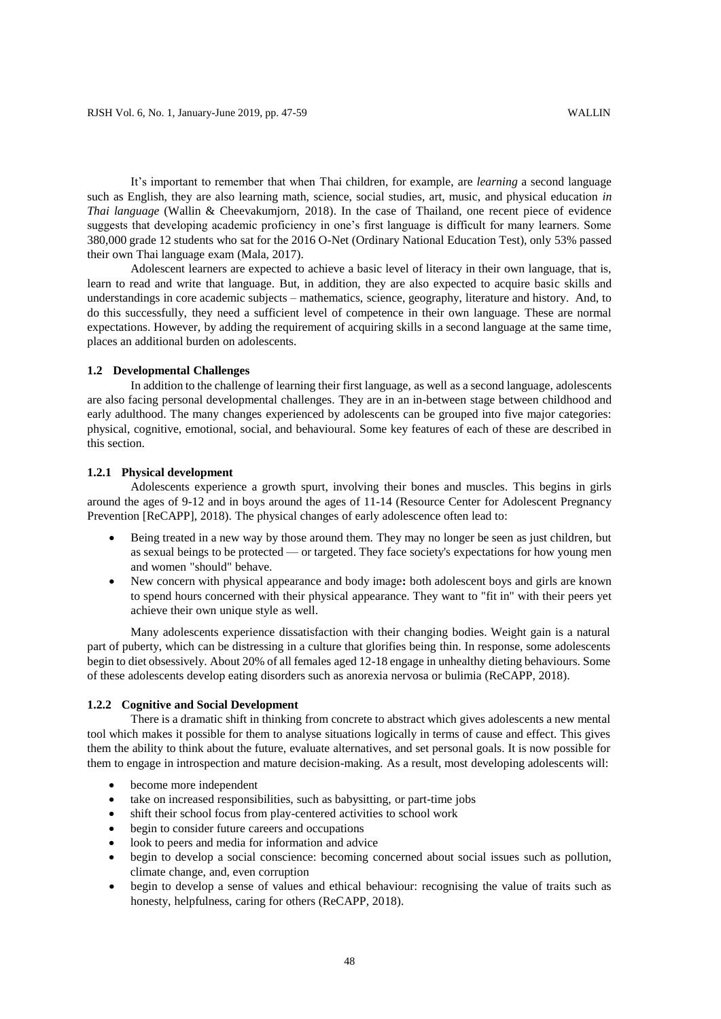It's important to remember that when Thai children, for example, are *learning* a second language such as English, they are also learning math, science, social studies, art, music, and physical education *in Thai language* (Wallin & Cheevakumjorn, 2018). In the case of Thailand, one recent piece of evidence suggests that developing academic proficiency in one's first language is difficult for many learners. Some 380,000 grade 12 students who sat for the 2016 O-Net (Ordinary National Education Test), only 53% passed their own Thai language exam (Mala, 2017).

Adolescent learners are expected to achieve a basic level of literacy in their own language, that is, learn to read and write that language. But, in addition, they are also expected to acquire basic skills and understandings in core academic subjects – mathematics, science, geography, literature and history. And, to do this successfully, they need a sufficient level of competence in their own language. These are normal expectations. However, by adding the requirement of acquiring skills in a second language at the same time, places an additional burden on adolescents.

## **1.2 Developmental Challenges**

In addition to the challenge of learning their first language, as well as a second language, adolescents are also facing personal developmental challenges. They are in an in-between stage between childhood and early adulthood. The many changes experienced by adolescents can be grouped into five major categories: physical, cognitive, emotional, social, and behavioural. Some key features of each of these are described in this section.

### **1.2.1 Physical development**

Adolescents experience a growth spurt, involving their bones and muscles. This begins in girls around the ages of 9-12 and in boys around the ages of 11-14 (Resource Center for Adolescent Pregnancy Prevention [ReCAPP], 2018). The physical changes of early adolescence often lead to:

- Being treated in a new way by those around them. They may no longer be seen as just children, but as sexual beings to be protected — or targeted. They face society's expectations for how young men and women "should" behave.
- New concern with physical appearance and body image**:** both adolescent boys and girls are known to spend hours concerned with their physical appearance. They want to "fit in" with their peers yet achieve their own unique style as well.

Many adolescents experience dissatisfaction with their changing bodies. Weight gain is a natural part of puberty, which can be distressing in a culture that glorifies being thin. In response, some adolescents begin to diet obsessively. About 20% of all females aged 12-18 engage in unhealthy dieting behaviours. Some of these adolescents develop eating disorders such as anorexia nervosa or bulimia (ReCAPP, 2018).

#### **1.2.2 Cognitive and Social Development**

There is a dramatic shift in thinking from concrete to abstract which gives adolescents a new mental tool which makes it possible for them to analyse situations logically in terms of cause and effect. This gives them the ability to think about the future, evaluate alternatives, and set personal goals. It is now possible for them to engage in introspection and mature decision-making. As a result, most developing adolescents will:

- become more independent
- take on increased responsibilities, such as babysitting, or part-time jobs
- shift their school focus from play-centered activities to school work
- begin to consider future careers and occupations
- look to peers and media for information and advice
- begin to develop a social conscience: becoming concerned about social issues such as pollution, climate change, and, even corruption
- begin to develop a sense of values and ethical behaviour: recognising the value of traits such as honesty, helpfulness, caring for others (ReCAPP, 2018).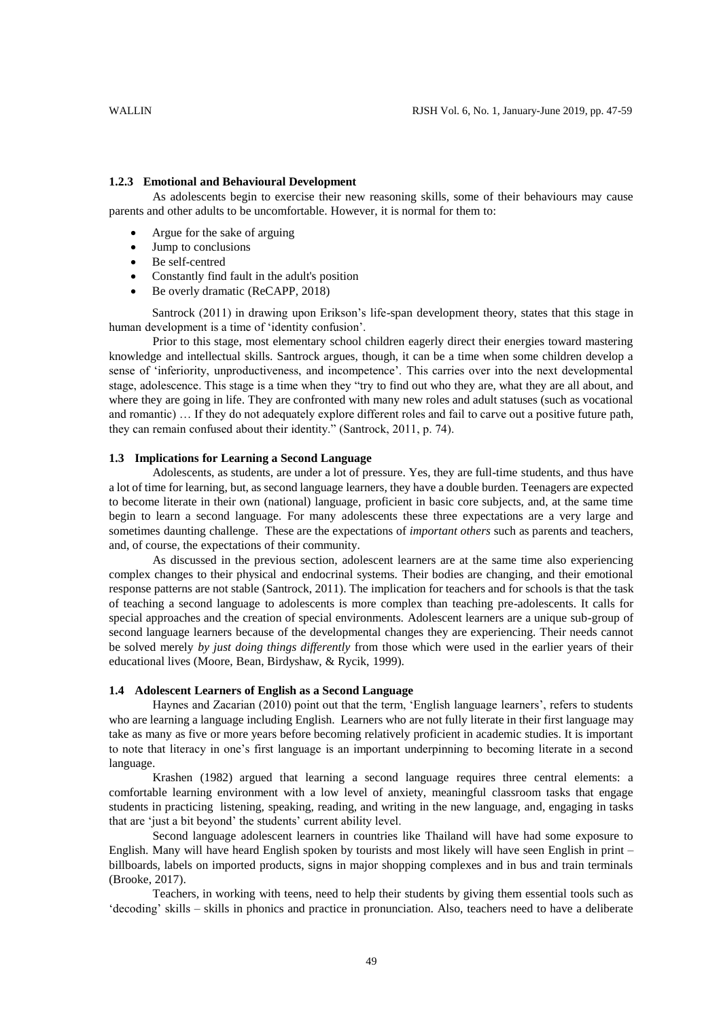#### **1.2.3 Emotional and Behavioural Development**

As adolescents begin to exercise their new reasoning skills, some of their behaviours may cause parents and other adults to be uncomfortable. However, it is normal for them to:

- Argue for the sake of arguing
- Jump to conclusions
- Be self-centred
- Constantly find fault in the adult's position
- Be overly dramatic (ReCAPP, 2018)

Santrock (2011) in drawing upon Erikson's life-span development theory, states that this stage in human development is a time of 'identity confusion'.

Prior to this stage, most elementary school children eagerly direct their energies toward mastering knowledge and intellectual skills. Santrock argues, though, it can be a time when some children develop a sense of 'inferiority, unproductiveness, and incompetence'. This carries over into the next developmental stage, adolescence. This stage is a time when they "try to find out who they are, what they are all about, and where they are going in life. They are confronted with many new roles and adult statuses (such as vocational and romantic) … If they do not adequately explore different roles and fail to carve out a positive future path, they can remain confused about their identity." (Santrock, 2011, p. 74).

### **1.3 Implications for Learning a Second Language**

Adolescents, as students, are under a lot of pressure. Yes, they are full-time students, and thus have a lot of time for learning, but, as second language learners, they have a double burden. Teenagers are expected to become literate in their own (national) language, proficient in basic core subjects, and, at the same time begin to learn a second language. For many adolescents these three expectations are a very large and sometimes daunting challenge. These are the expectations of *important others* such as parents and teachers, and, of course, the expectations of their community.

As discussed in the previous section, adolescent learners are at the same time also experiencing complex changes to their physical and endocrinal systems. Their bodies are changing, and their emotional response patterns are not stable (Santrock, 2011). The implication for teachers and for schools is that the task of teaching a second language to adolescents is more complex than teaching pre-adolescents. It calls for special approaches and the creation of special environments. Adolescent learners are a unique sub-group of second language learners because of the developmental changes they are experiencing. Their needs cannot be solved merely *by just doing things differently* from those which were used in the earlier years of their educational lives (Moore, Bean, Birdyshaw, & Rycik, 1999).

### **1.4 Adolescent Learners of English as a Second Language**

Haynes and Zacarian (2010) point out that the term, 'English language learners', refers to students who are learning a language including English. Learners who are not fully literate in their first language may take as many as five or more years before becoming relatively proficient in academic studies. It is important to note that literacy in one's first language is an important underpinning to becoming literate in a second language.

Krashen (1982) argued that learning a second language requires three central elements: a comfortable learning environment with a low level of anxiety, meaningful classroom tasks that engage students in practicing listening, speaking, reading, and writing in the new language, and, engaging in tasks that are 'just a bit beyond' the students' current ability level.

Second language adolescent learners in countries like Thailand will have had some exposure to English. Many will have heard English spoken by tourists and most likely will have seen English in print – billboards, labels on imported products, signs in major shopping complexes and in bus and train terminals (Brooke, 2017).

Teachers, in working with teens, need to help their students by giving them essential tools such as 'decoding' skills – skills in phonics and practice in pronunciation. Also, teachers need to have a deliberate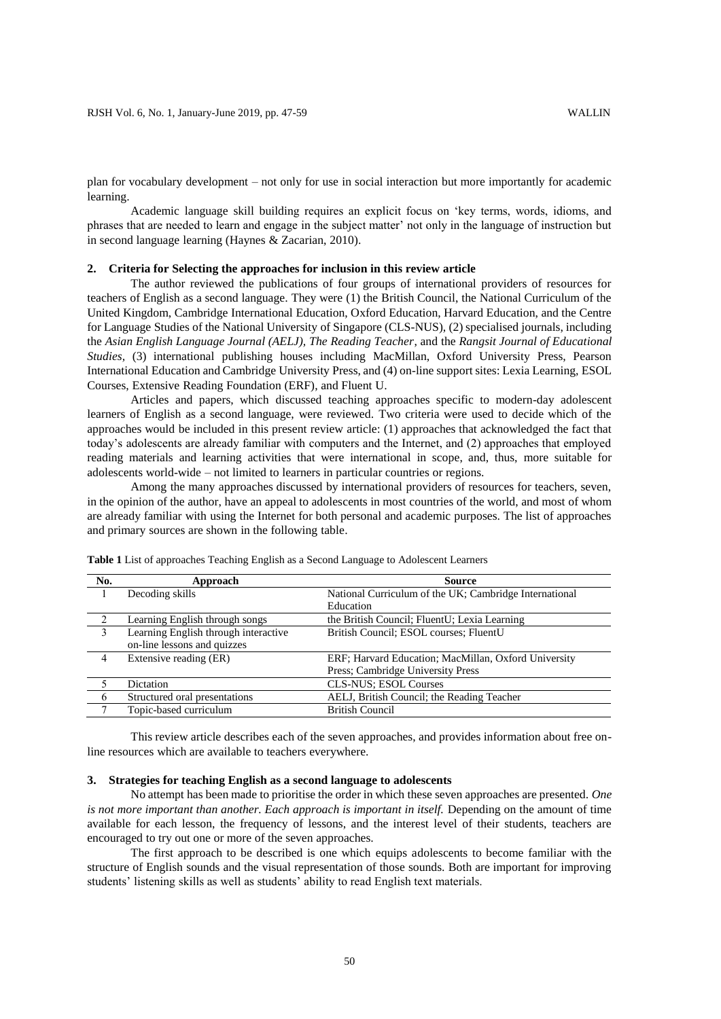plan for vocabulary development – not only for use in social interaction but more importantly for academic learning.

Academic language skill building requires an explicit focus on 'key terms, words, idioms, and phrases that are needed to learn and engage in the subject matter' not only in the language of instruction but in second language learning (Haynes & Zacarian, 2010).

#### **2. Criteria for Selecting the approaches for inclusion in this review article**

The author reviewed the publications of four groups of international providers of resources for teachers of English as a second language. They were (1) the British Council, the National Curriculum of the United Kingdom, Cambridge International Education, Oxford Education, Harvard Education, and the Centre for Language Studies of the National University of Singapore (CLS-NUS), (2) specialised journals, including the *Asian English Language Journal (AELJ), The Reading Teacher*, and the *Rangsit Journal of Educational Studies,* (3) international publishing houses including MacMillan, Oxford University Press, Pearson International Education and Cambridge University Press, and (4) on-line support sites: Lexia Learning, ESOL Courses, Extensive Reading Foundation (ERF), and Fluent U.

Articles and papers, which discussed teaching approaches specific to modern-day adolescent learners of English as a second language, were reviewed. Two criteria were used to decide which of the approaches would be included in this present review article: (1) approaches that acknowledged the fact that today's adolescents are already familiar with computers and the Internet, and (2) approaches that employed reading materials and learning activities that were international in scope, and, thus, more suitable for adolescents world-wide – not limited to learners in particular countries or regions.

Among the many approaches discussed by international providers of resources for teachers, seven, in the opinion of the author, have an appeal to adolescents in most countries of the world, and most of whom are already familiar with using the Internet for both personal and academic purposes. The list of approaches and primary sources are shown in the following table.

| No.          | Approach                             | <b>Source</b>                                          |
|--------------|--------------------------------------|--------------------------------------------------------|
|              | Decoding skills                      | National Curriculum of the UK; Cambridge International |
|              |                                      | Education                                              |
|              | Learning English through songs       | the British Council; FluentU; Lexia Learning           |
| 3            | Learning English through interactive | British Council; ESOL courses; FluentU                 |
|              | on-line lessons and quizzes          |                                                        |
| 4            | Extensive reading (ER)               | ERF; Harvard Education; MacMillan, Oxford University   |
|              |                                      | Press; Cambridge University Press                      |
| 5            | Dictation                            | <b>CLS-NUS</b> ; ESOL Courses                          |
| 6            | Structured oral presentations        | AELJ, British Council; the Reading Teacher             |
| $\mathbf{7}$ | Topic-based curriculum               | <b>British Council</b>                                 |

**Table 1** List of approaches Teaching English as a Second Language to Adolescent Learners

This review article describes each of the seven approaches, and provides information about free online resources which are available to teachers everywhere.

### **3. Strategies for teaching English as a second language to adolescents**

No attempt has been made to prioritise the order in which these seven approaches are presented. *One is not more important than another. Each approach is important in itself.* Depending on the amount of time available for each lesson, the frequency of lessons, and the interest level of their students, teachers are encouraged to try out one or more of the seven approaches.

The first approach to be described is one which equips adolescents to become familiar with the structure of English sounds and the visual representation of those sounds. Both are important for improving students' listening skills as well as students' ability to read English text materials.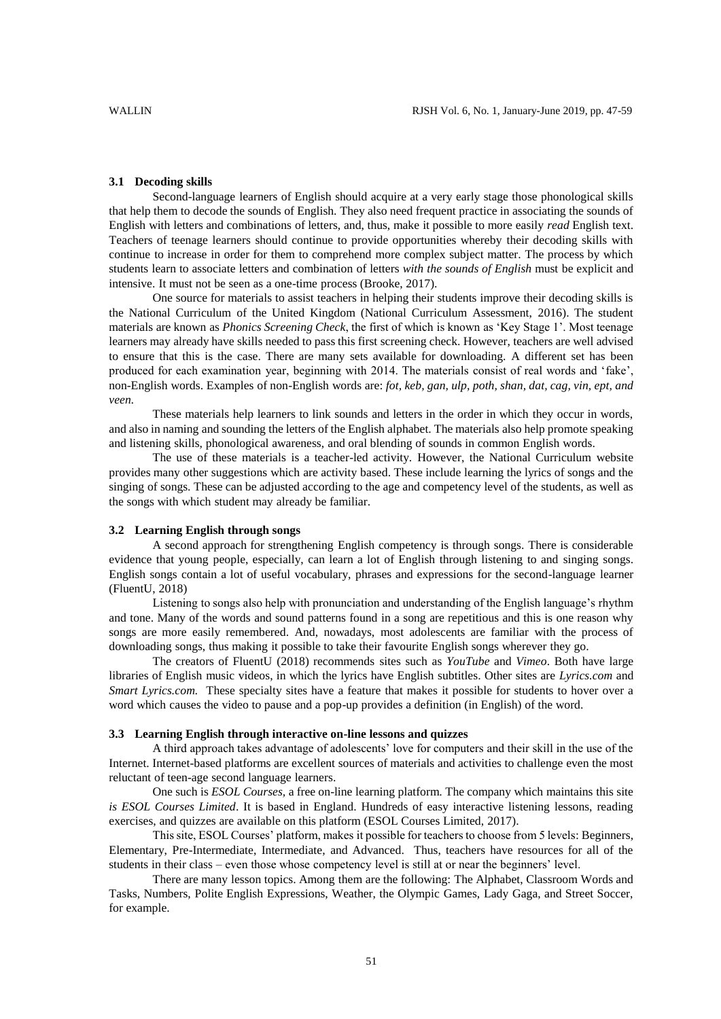## **3.1 Decoding skills**

Second-language learners of English should acquire at a very early stage those phonological skills that help them to decode the sounds of English. They also need frequent practice in associating the sounds of English with letters and combinations of letters, and, thus, make it possible to more easily *read* English text. Teachers of teenage learners should continue to provide opportunities whereby their decoding skills with continue to increase in order for them to comprehend more complex subject matter. The process by which students learn to associate letters and combination of letters *with the sounds of English* must be explicit and intensive. It must not be seen as a one-time process (Brooke, 2017).

One source for materials to assist teachers in helping their students improve their decoding skills is the National Curriculum of the United Kingdom (National Curriculum Assessment, 2016). The student materials are known as *Phonics Screening Check*, the first of which is known as 'Key Stage 1'. Most teenage learners may already have skills needed to pass this first screening check. However, teachers are well advised to ensure that this is the case. There are many sets available for downloading. A different set has been produced for each examination year, beginning with 2014. The materials consist of real words and 'fake', non-English words. Examples of non-English words are: *fot, keb, gan, ulp, poth, shan, dat, cag, vin, ept, and veen.* 

These materials help learners to link sounds and letters in the order in which they occur in words, and also in naming and sounding the letters of the English alphabet. The materials also help promote speaking and listening skills, phonological awareness, and oral blending of sounds in common English words.

The use of these materials is a teacher-led activity. However, the National Curriculum website provides many other suggestions which are activity based. These include learning the lyrics of songs and the singing of songs. These can be adjusted according to the age and competency level of the students, as well as the songs with which student may already be familiar.

## **3.2 Learning English through songs**

A second approach for strengthening English competency is through songs. There is considerable evidence that young people, especially, can learn a lot of English through listening to and singing songs. English songs contain a lot of useful vocabulary, phrases and expressions for the second-language learner (FluentU, 2018)

Listening to songs also help with pronunciation and understanding of the English language's rhythm and tone. Many of the words and sound patterns found in a song are repetitious and this is one reason why songs are more easily remembered. And, nowadays, most adolescents are familiar with the process of downloading songs, thus making it possible to take their favourite English songs wherever they go.

The creators of FluentU (2018) recommends sites such as *YouTube* and *Vimeo*. Both have large libraries of English music videos, in which the lyrics have English subtitles. Other sites are *Lyrics.com* and *Smart Lyrics.com.* These specialty sites have a feature that makes it possible for students to hover over a word which causes the video to pause and a pop-up provides a definition (in English) of the word.

## **3.3 Learning English through interactive on-line lessons and quizzes**

A third approach takes advantage of adolescents' love for computers and their skill in the use of the Internet. Internet-based platforms are excellent sources of materials and activities to challenge even the most reluctant of teen-age second language learners.

One such is *ESOL Courses,* a free on-line learning platform. The company which maintains this site *is ESOL Courses Limited*. It is based in England. Hundreds of easy interactive listening lessons, reading exercises, and quizzes are available on this platform (ESOL Courses Limited, 2017).

This site, ESOL Courses' platform, makes it possible for teachers to choose from 5 levels: Beginners, Elementary, Pre-Intermediate, Intermediate, and Advanced. Thus, teachers have resources for all of the students in their class – even those whose competency level is still at or near the beginners' level.

There are many lesson topics. Among them are the following: The Alphabet, Classroom Words and Tasks, Numbers, Polite English Expressions, Weather, the Olympic Games, Lady Gaga, and Street Soccer, for example.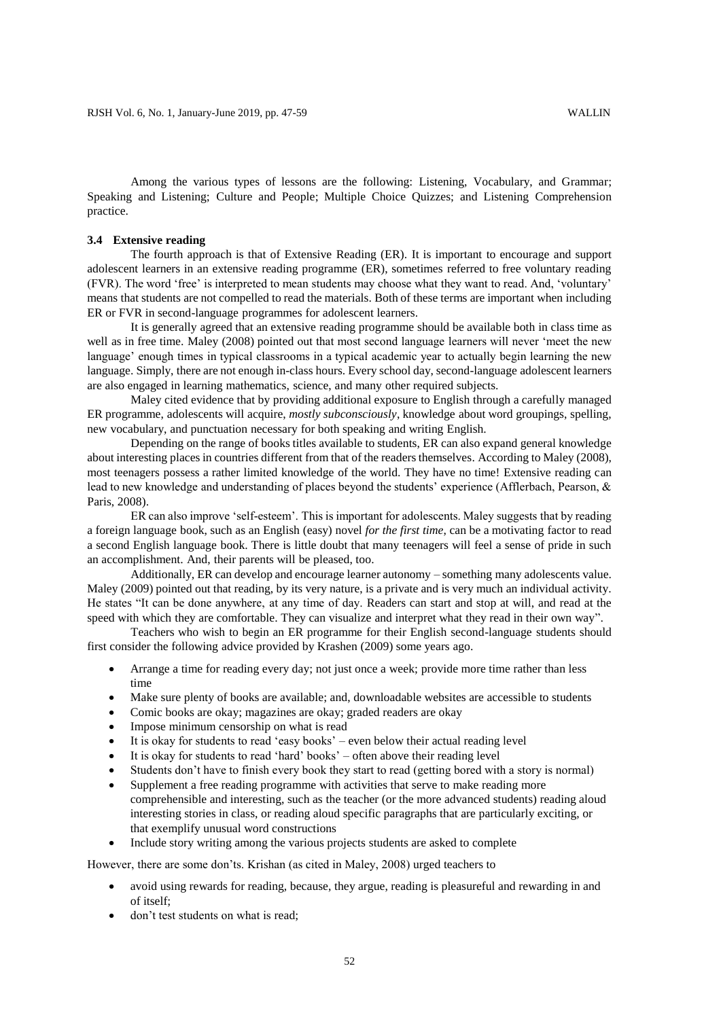Among the various types of lessons are the following: Listening, Vocabulary, and Grammar; Speaking and Listening; Culture and People; Multiple Choice Quizzes; and Listening Comprehension practice.

### **3.4 Extensive reading**

The fourth approach is that of Extensive Reading (ER). It is important to encourage and support adolescent learners in an extensive reading programme (ER), sometimes referred to free voluntary reading (FVR). The word 'free' is interpreted to mean students may choose what they want to read. And, 'voluntary' means that students are not compelled to read the materials. Both of these terms are important when including ER or FVR in second-language programmes for adolescent learners.

It is generally agreed that an extensive reading programme should be available both in class time as well as in free time. Maley (2008) pointed out that most second language learners will never 'meet the new language' enough times in typical classrooms in a typical academic year to actually begin learning the new language. Simply, there are not enough in-class hours. Every school day, second-language adolescent learners are also engaged in learning mathematics, science, and many other required subjects.

Maley cited evidence that by providing additional exposure to English through a carefully managed ER programme, adolescents will acquire, *mostly subconsciously*, knowledge about word groupings, spelling, new vocabulary, and punctuation necessary for both speaking and writing English.

Depending on the range of books titles available to students, ER can also expand general knowledge about interesting places in countries different from that of the readers themselves. According to Maley (2008), most teenagers possess a rather limited knowledge of the world. They have no time! Extensive reading can lead to new knowledge and understanding of places beyond the students' experience (Afflerbach, Pearson, & Paris, 2008).

ER can also improve 'self-esteem'. This is important for adolescents. Maley suggests that by reading a foreign language book, such as an English (easy) novel *for the first time*, can be a motivating factor to read a second English language book. There is little doubt that many teenagers will feel a sense of pride in such an accomplishment. And, their parents will be pleased, too.

Additionally, ER can develop and encourage learner autonomy – something many adolescents value. Maley (2009) pointed out that reading, by its very nature, is a private and is very much an individual activity. He states "It can be done anywhere, at any time of day. Readers can start and stop at will, and read at the speed with which they are comfortable. They can visualize and interpret what they read in their own way".

Teachers who wish to begin an ER programme for their English second-language students should first consider the following advice provided by Krashen (2009) some years ago.

- Arrange a time for reading every day; not just once a week; provide more time rather than less time
- Make sure plenty of books are available; and, downloadable websites are accessible to students
- Comic books are okay; magazines are okay; graded readers are okay
- Impose minimum censorship on what is read
- It is okay for students to read 'easy books' even below their actual reading level
- $\bullet$  It is okay for students to read 'hard' books' often above their reading level
- Students don't have to finish every book they start to read (getting bored with a story is normal)
- Supplement a free reading programme with activities that serve to make reading more comprehensible and interesting, such as the teacher (or the more advanced students) reading aloud interesting stories in class, or reading aloud specific paragraphs that are particularly exciting, or that exemplify unusual word constructions
- Include story writing among the various projects students are asked to complete

However, there are some don'ts. Krishan (as cited in Maley, 2008) urged teachers to

- avoid using rewards for reading, because, they argue, reading is pleasureful and rewarding in and of itself;
- don't test students on what is read;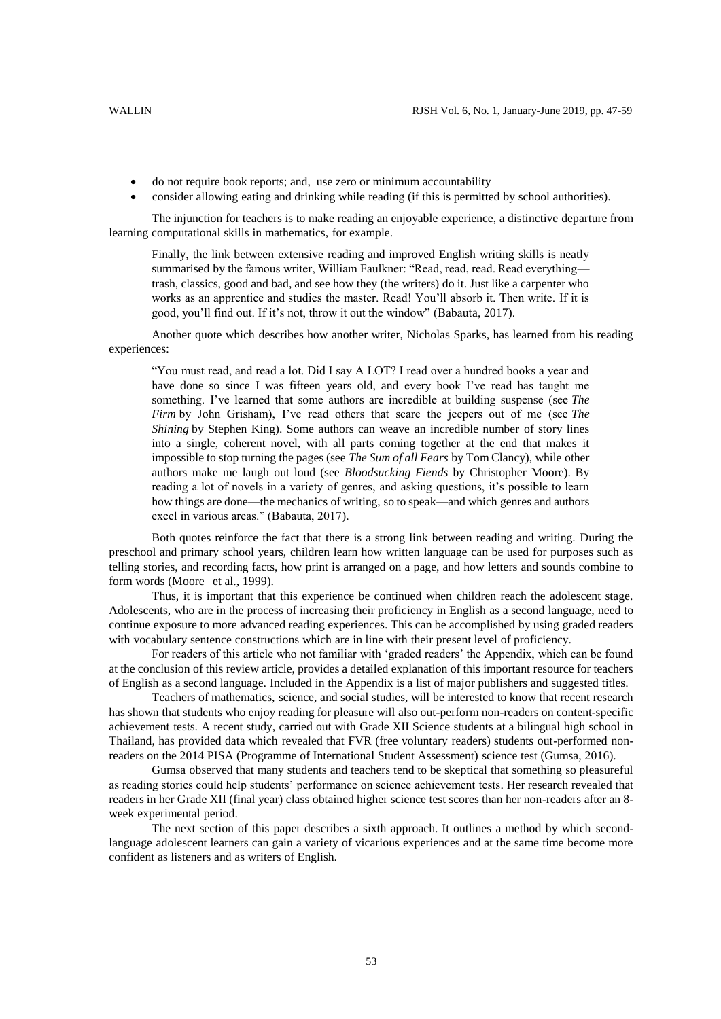- do not require book reports; and, use zero or minimum accountability
- consider allowing eating and drinking while reading (if this is permitted by school authorities).

The injunction for teachers is to make reading an enjoyable experience, a distinctive departure from learning computational skills in mathematics, for example.

Finally, the link between extensive reading and improved English writing skills is neatly summarised by the famous writer, William Faulkner: "Read, read, read. Read everything trash, classics, good and bad, and see how they (the writers) do it. Just like a carpenter who works as an apprentice and studies the master. Read! You'll absorb it. Then write. If it is good, you'll find out. If it's not, throw it out the window" (Babauta, 2017).

Another quote which describes how another writer, Nicholas Sparks, has learned from his reading experiences:

"You must read, and read a lot. Did I say A LOT? I read over a hundred books a year and have done so since I was fifteen years old, and every book I've read has taught me something. I've learned that some authors are incredible at building suspense (see *The Firm* by John Grisham), I've read others that scare the jeepers out of me (see *The Shining* by Stephen King). Some authors can weave an incredible number of story lines into a single, coherent novel, with all parts coming together at the end that makes it impossible to stop turning the pages (see *The Sum of all Fears* by Tom Clancy), while other authors make me laugh out loud (see *Bloodsucking Fiends* by Christopher Moore). By reading a lot of novels in a variety of genres, and asking questions, it's possible to learn how things are done—the mechanics of writing, so to speak—and which genres and authors excel in various areas." (Babauta, 2017).

Both quotes reinforce the fact that there is a strong link between reading and writing. During the preschool and primary school years, children learn how written language can be used for purposes such as telling stories, and recording facts, how print is arranged on a page, and how letters and sounds combine to form words (Moore et al., 1999).

Thus, it is important that this experience be continued when children reach the adolescent stage. Adolescents, who are in the process of increasing their proficiency in English as a second language, need to continue exposure to more advanced reading experiences. This can be accomplished by using graded readers with vocabulary sentence constructions which are in line with their present level of proficiency.

For readers of this article who not familiar with 'graded readers' the Appendix, which can be found at the conclusion of this review article, provides a detailed explanation of this important resource for teachers of English as a second language. Included in the Appendix is a list of major publishers and suggested titles.

Teachers of mathematics, science, and social studies, will be interested to know that recent research has shown that students who enjoy reading for pleasure will also out-perform non-readers on content-specific achievement tests. A recent study, carried out with Grade XII Science students at a bilingual high school in Thailand, has provided data which revealed that FVR (free voluntary readers) students out-performed nonreaders on the 2014 PISA (Programme of International Student Assessment) science test (Gumsa, 2016).

Gumsa observed that many students and teachers tend to be skeptical that something so pleasureful as reading stories could help students' performance on science achievement tests. Her research revealed that readers in her Grade XII (final year) class obtained higher science test scores than her non-readers after an 8 week experimental period.

The next section of this paper describes a sixth approach. It outlines a method by which secondlanguage adolescent learners can gain a variety of vicarious experiences and at the same time become more confident as listeners and as writers of English.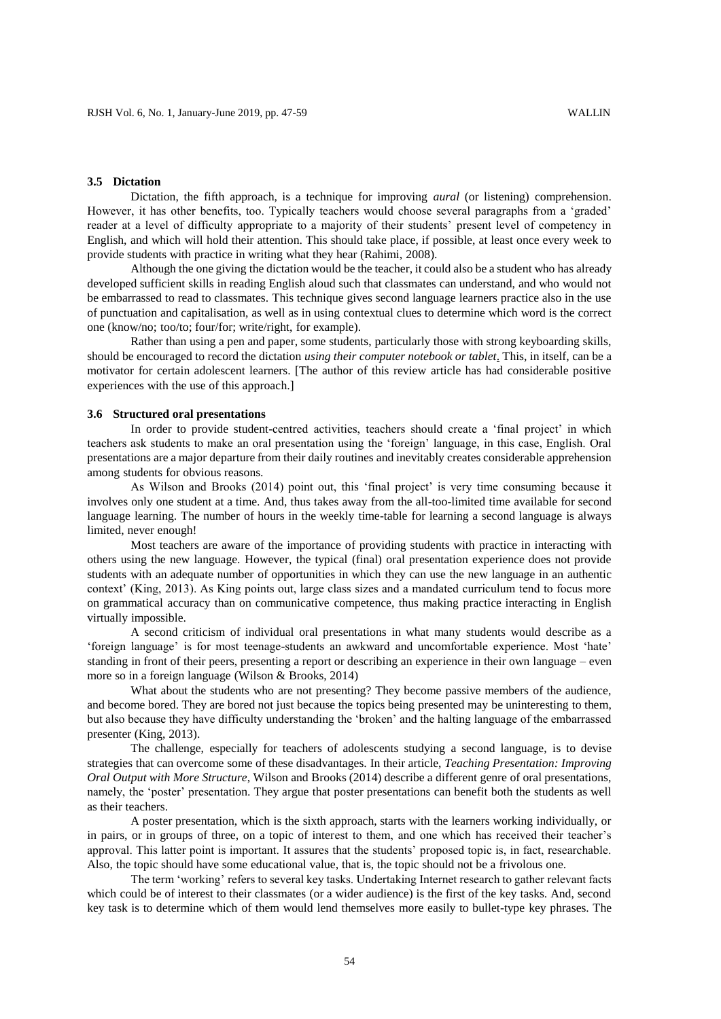### **3.5 Dictation**

Dictation, the fifth approach, is a technique for improving *aural* (or listening) comprehension. However, it has other benefits, too. Typically teachers would choose several paragraphs from a 'graded' reader at a level of difficulty appropriate to a majority of their students' present level of competency in English, and which will hold their attention. This should take place, if possible, at least once every week to provide students with practice in writing what they hear (Rahimi, 2008).

Although the one giving the dictation would be the teacher, it could also be a student who has already developed sufficient skills in reading English aloud such that classmates can understand, and who would not be embarrassed to read to classmates. This technique gives second language learners practice also in the use of punctuation and capitalisation, as well as in using contextual clues to determine which word is the correct one (know/no; too/to; four/for; write/right, for example).

Rather than using a pen and paper, some students, particularly those with strong keyboarding skills, should be encouraged to record the dictation *using their computer notebook or tablet*. This, in itself, can be a motivator for certain adolescent learners. [The author of this review article has had considerable positive experiences with the use of this approach.]

#### **3.6 Structured oral presentations**

In order to provide student-centred activities, teachers should create a 'final project' in which teachers ask students to make an oral presentation using the 'foreign' language, in this case, English. Oral presentations are a major departure from their daily routines and inevitably creates considerable apprehension among students for obvious reasons.

As Wilson and Brooks (2014) point out, this 'final project' is very time consuming because it involves only one student at a time. And, thus takes away from the all-too-limited time available for second language learning. The number of hours in the weekly time-table for learning a second language is always limited, never enough!

Most teachers are aware of the importance of providing students with practice in interacting with others using the new language. However, the typical (final) oral presentation experience does not provide students with an adequate number of opportunities in which they can use the new language in an authentic context' (King, 2013). As King points out, large class sizes and a mandated curriculum tend to focus more on grammatical accuracy than on communicative competence, thus making practice interacting in English virtually impossible.

A second criticism of individual oral presentations in what many students would describe as a 'foreign language' is for most teenage-students an awkward and uncomfortable experience. Most 'hate' standing in front of their peers, presenting a report or describing an experience in their own language – even more so in a foreign language (Wilson & Brooks, 2014)

What about the students who are not presenting? They become passive members of the audience, and become bored. They are bored not just because the topics being presented may be uninteresting to them, but also because they have difficulty understanding the 'broken' and the halting language of the embarrassed presenter (King, 2013).

The challenge, especially for teachers of adolescents studying a second language, is to devise strategies that can overcome some of these disadvantages. In their article, *Teaching Presentation: Improving Oral Output with More Structure*, Wilson and Brooks (2014) describe a different genre of oral presentations, namely, the 'poster' presentation. They argue that poster presentations can benefit both the students as well as their teachers.

A poster presentation, which is the sixth approach, starts with the learners working individually, or in pairs, or in groups of three, on a topic of interest to them, and one which has received their teacher's approval. This latter point is important. It assures that the students' proposed topic is, in fact, researchable. Also, the topic should have some educational value, that is, the topic should not be a frivolous one.

The term 'working' refers to several key tasks. Undertaking Internet research to gather relevant facts which could be of interest to their classmates (or a wider audience) is the first of the key tasks. And, second key task is to determine which of them would lend themselves more easily to bullet-type key phrases. The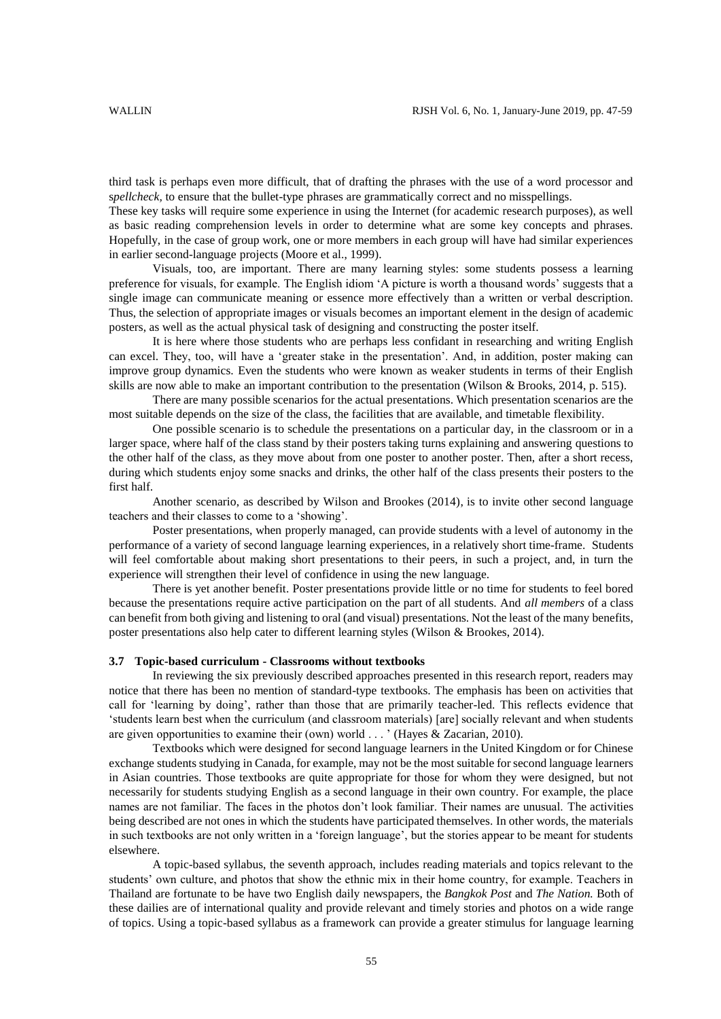third task is perhaps even more difficult, that of drafting the phrases with the use of a word processor and spellcheck, to ensure that the bullet-type phrases are grammatically correct and no misspellings.

These key tasks will require some experience in using the Internet (for academic research purposes), as well as basic reading comprehension levels in order to determine what are some key concepts and phrases. Hopefully, in the case of group work, one or more members in each group will have had similar experiences in earlier second-language projects (Moore et al., 1999).

Visuals, too, are important. There are many learning styles: some students possess a learning preference for visuals, for example. The English idiom 'A picture is worth a thousand words' suggests that a single image can communicate meaning or essence more effectively than a written or verbal description. Thus, the selection of appropriate images or visuals becomes an important element in the design of academic posters, as well as the actual physical task of designing and constructing the poster itself.

It is here where those students who are perhaps less confidant in researching and writing English can excel. They, too, will have a 'greater stake in the presentation'. And, in addition, poster making can improve group dynamics. Even the students who were known as weaker students in terms of their English skills are now able to make an important contribution to the presentation (Wilson & Brooks, 2014, p. 515).

There are many possible scenarios for the actual presentations. Which presentation scenarios are the most suitable depends on the size of the class, the facilities that are available, and timetable flexibility.

One possible scenario is to schedule the presentations on a particular day, in the classroom or in a larger space, where half of the class stand by their posters taking turns explaining and answering questions to the other half of the class, as they move about from one poster to another poster. Then, after a short recess, during which students enjoy some snacks and drinks, the other half of the class presents their posters to the first half.

Another scenario, as described by Wilson and Brookes (2014), is to invite other second language teachers and their classes to come to a 'showing'.

Poster presentations, when properly managed, can provide students with a level of autonomy in the performance of a variety of second language learning experiences, in a relatively short time-frame. Students will feel comfortable about making short presentations to their peers, in such a project, and, in turn the experience will strengthen their level of confidence in using the new language.

There is yet another benefit. Poster presentations provide little or no time for students to feel bored because the presentations require active participation on the part of all students. And *all members* of a class can benefit from both giving and listening to oral (and visual) presentations. Not the least of the many benefits, poster presentations also help cater to different learning styles (Wilson & Brookes, 2014).

#### **3.7 Topic-based curriculum - Classrooms without textbooks**

In reviewing the six previously described approaches presented in this research report, readers may notice that there has been no mention of standard-type textbooks. The emphasis has been on activities that call for 'learning by doing', rather than those that are primarily teacher-led. This reflects evidence that 'students learn best when the curriculum (and classroom materials) [are] socially relevant and when students are given opportunities to examine their (own) world . . . ' (Hayes & Zacarian, 2010).

Textbooks which were designed for second language learners in the United Kingdom or for Chinese exchange students studying in Canada, for example, may not be the most suitable for second language learners in Asian countries. Those textbooks are quite appropriate for those for whom they were designed, but not necessarily for students studying English as a second language in their own country. For example, the place names are not familiar. The faces in the photos don't look familiar. Their names are unusual. The activities being described are not ones in which the students have participated themselves. In other words, the materials in such textbooks are not only written in a 'foreign language', but the stories appear to be meant for students elsewhere.

A topic-based syllabus, the seventh approach, includes reading materials and topics relevant to the students' own culture, and photos that show the ethnic mix in their home country, for example. Teachers in Thailand are fortunate to be have two English daily newspapers, the *Bangkok Post* and *The Nation.* Both of these dailies are of international quality and provide relevant and timely stories and photos on a wide range of topics. Using a topic-based syllabus as a framework can provide a greater stimulus for language learning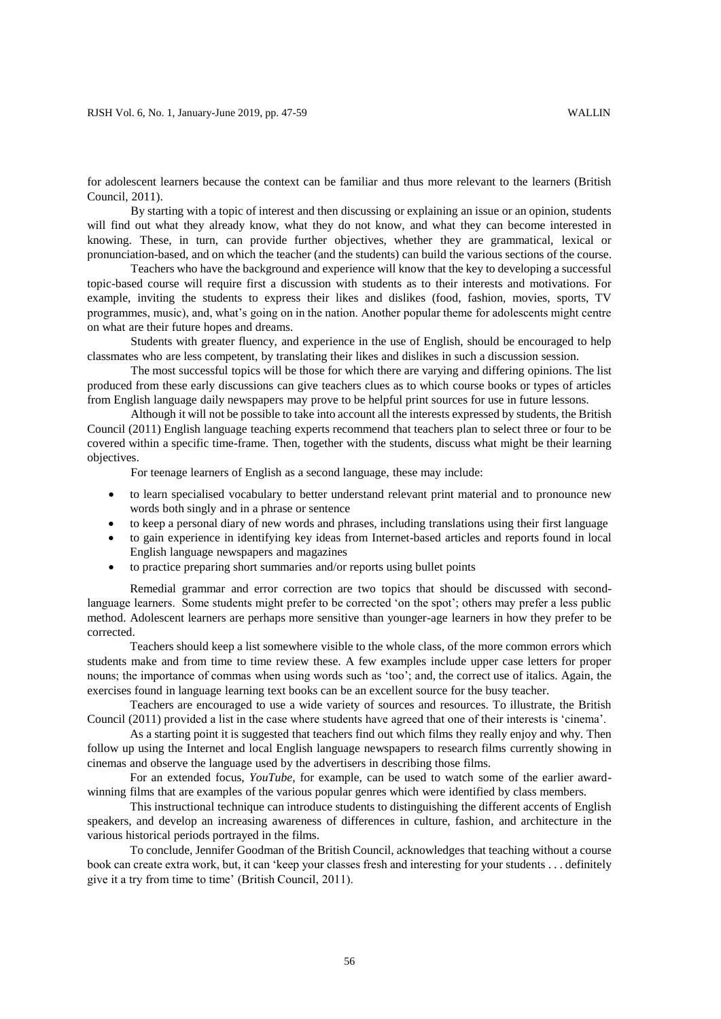for adolescent learners because the context can be familiar and thus more relevant to the learners (British Council, 2011).

By starting with a topic of interest and then discussing or explaining an issue or an opinion, students will find out what they already know, what they do not know, and what they can become interested in knowing. These, in turn, can provide further objectives, whether they are grammatical, lexical or pronunciation-based, and on which the teacher (and the students) can build the various sections of the course.

Teachers who have the background and experience will know that the key to developing a successful topic-based course will require first a discussion with students as to their interests and motivations. For example, inviting the students to express their likes and dislikes (food, fashion, movies, sports, TV programmes, music), and, what's going on in the nation. Another popular theme for adolescents might centre on what are their future hopes and dreams.

Students with greater fluency, and experience in the use of English, should be encouraged to help classmates who are less competent, by translating their likes and dislikes in such a discussion session.

The most successful topics will be those for which there are varying and differing opinions. The list produced from these early discussions can give teachers clues as to which course books or types of articles from English language daily newspapers may prove to be helpful print sources for use in future lessons.

Although it will not be possible to take into account all the interests expressed by students, the British Council (2011) English language teaching experts recommend that teachers plan to select three or four to be covered within a specific time-frame. Then, together with the students, discuss what might be their learning objectives.

For teenage learners of English as a second language, these may include:

- to learn specialised vocabulary to better understand relevant print material and to pronounce new words both singly and in a phrase or sentence
- to keep a personal diary of new words and phrases, including translations using their first language
- to gain experience in identifying key ideas from Internet-based articles and reports found in local English language newspapers and magazines
- to practice preparing short summaries and/or reports using bullet points

Remedial grammar and error correction are two topics that should be discussed with secondlanguage learners. Some students might prefer to be corrected 'on the spot'; others may prefer a less public method. Adolescent learners are perhaps more sensitive than younger-age learners in how they prefer to be corrected.

Teachers should keep a list somewhere visible to the whole class, of the more common errors which students make and from time to time review these. A few examples include upper case letters for proper nouns; the importance of commas when using words such as 'too'; and, the correct use of italics. Again, the exercises found in language learning text books can be an excellent source for the busy teacher.

Teachers are encouraged to use a wide variety of sources and resources. To illustrate, the British Council (2011) provided a list in the case where students have agreed that one of their interests is 'cinema'.

As a starting point it is suggested that teachers find out which films they really enjoy and why. Then follow up using the Internet and local English language newspapers to research films currently showing in cinemas and observe the language used by the advertisers in describing those films.

For an extended focus, *YouTube*, for example, can be used to watch some of the earlier awardwinning films that are examples of the various popular genres which were identified by class members.

This instructional technique can introduce students to distinguishing the different accents of English speakers, and develop an increasing awareness of differences in culture, fashion, and architecture in the various historical periods portrayed in the films.

To conclude, Jennifer Goodman of the British Council, acknowledges that teaching without a course book can create extra work, but, it can 'keep your classes fresh and interesting for your students . . . definitely give it a try from time to time' (British Council, 2011).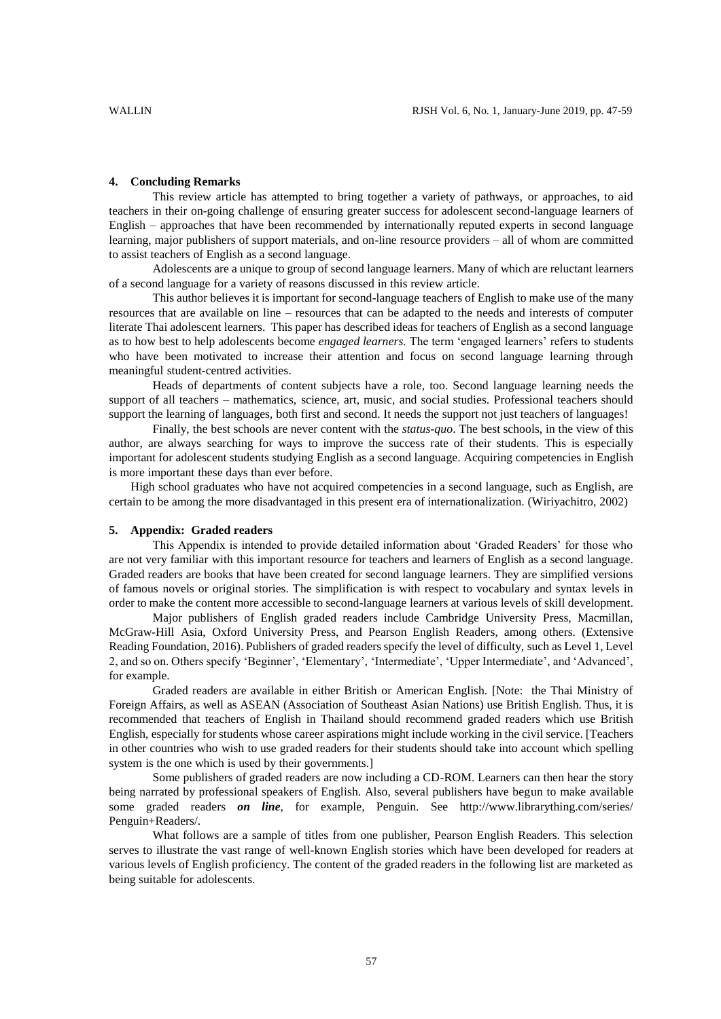### **4. Concluding Remarks**

This review article has attempted to bring together a variety of pathways, or approaches, to aid teachers in their on-going challenge of ensuring greater success for adolescent second-language learners of English – approaches that have been recommended by internationally reputed experts in second language learning, major publishers of support materials, and on-line resource providers – all of whom are committed to assist teachers of English as a second language.

Adolescents are a unique to group of second language learners. Many of which are reluctant learners of a second language for a variety of reasons discussed in this review article.

This author believes it is important for second-language teachers of English to make use of the many resources that are available on line – resources that can be adapted to the needs and interests of computer literate Thai adolescent learners. This paper has described ideas for teachers of English as a second language as to how best to help adolescents become *engaged learners*. The term 'engaged learners' refers to students who have been motivated to increase their attention and focus on second language learning through meaningful student-centred activities.

Heads of departments of content subjects have a role, too. Second language learning needs the support of all teachers – mathematics, science, art, music, and social studies. Professional teachers should support the learning of languages, both first and second. It needs the support not just teachers of languages!

Finally, the best schools are never content with the *status-quo*. The best schools, in the view of this author, are always searching for ways to improve the success rate of their students. This is especially important for adolescent students studying English as a second language. Acquiring competencies in English is more important these days than ever before.

High school graduates who have not acquired competencies in a second language, such as English, are certain to be among the more disadvantaged in this present era of internationalization. (Wiriyachitro, 2002)

#### **5. Appendix: Graded readers**

This Appendix is intended to provide detailed information about 'Graded Readers' for those who are not very familiar with this important resource for teachers and learners of English as a second language. Graded readers are books that have been created for second language learners. They are simplified versions of famous novels or original stories. The simplification is with respect to vocabulary and syntax levels in order to make the content more accessible to second-language learners at various levels of skill development.

Major publishers of English graded readers include Cambridge University Press, Macmillan, McGraw-Hill Asia, Oxford University Press, and Pearson English Readers, among others. (Extensive Reading Foundation, 2016). Publishers of graded readers specify the level of difficulty, such as Level 1, Level 2, and so on. Others specify 'Beginner', 'Elementary', 'Intermediate', 'Upper Intermediate', and 'Advanced', for example.

Graded readers are available in either British or American English. [Note: the Thai Ministry of Foreign Affairs, as well as ASEAN (Association of Southeast Asian Nations) use British English. Thus, it is recommended that teachers of English in Thailand should recommend graded readers which use British English, especially for students whose career aspirations might include working in the civil service. [Teachers in other countries who wish to use graded readers for their students should take into account which spelling system is the one which is used by their governments.]

Some publishers of graded readers are now including a CD-ROM. Learners can then hear the story being narrated by professional speakers of English. Also, several publishers have begun to make available some graded readers *on line*, for example, Penguin. See http://www.librarything.com/series/ Penguin+Readers/.

What follows are a sample of titles from one publisher, Pearson English Readers. This selection serves to illustrate the vast range of well-known English stories which have been developed for readers at various levels of English proficiency. The content of the graded readers in the following list are marketed as being suitable for adolescents.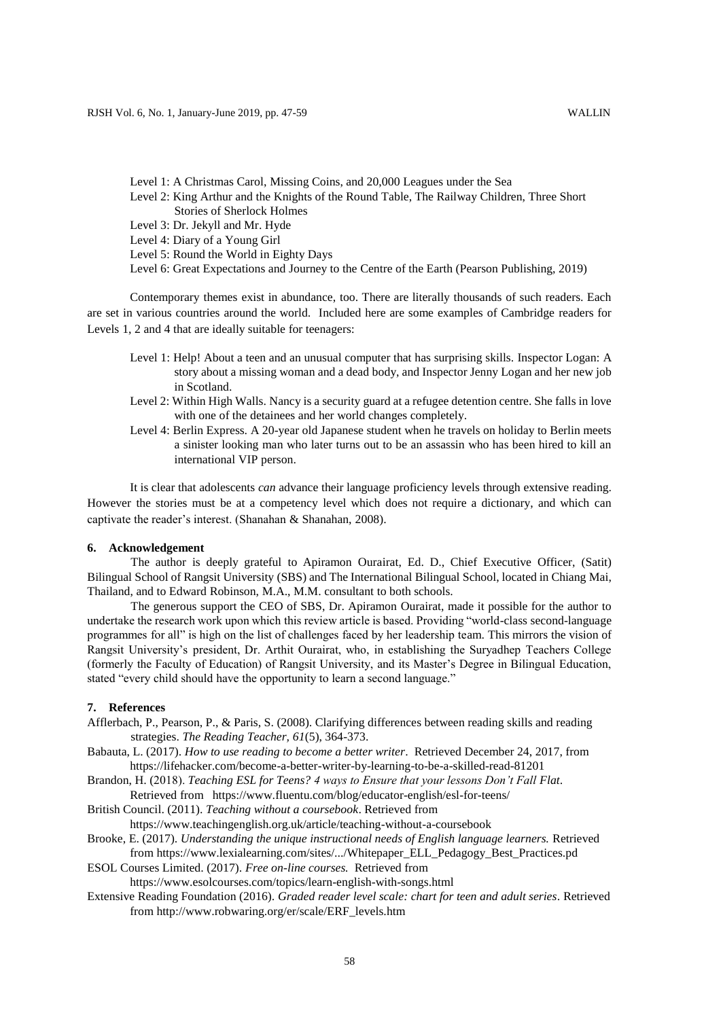- Level 1: A Christmas Carol, Missing Coins, and 20,000 Leagues under the Sea
- Level 2: King Arthur and the Knights of the Round Table, The Railway Children, Three Short Stories of Sherlock Holmes
- Level 3: Dr. Jekyll and Mr. Hyde
- Level 4: Diary of a Young Girl
- Level 5: Round the World in Eighty Days
- Level 6: Great Expectations and Journey to the Centre of the Earth (Pearson Publishing, 2019)

Contemporary themes exist in abundance, too. There are literally thousands of such readers. Each are set in various countries around the world. Included here are some examples of Cambridge readers for Levels 1, 2 and 4 that are ideally suitable for teenagers:

- Level 1: Help! About a teen and an unusual computer that has surprising skills. Inspector Logan: A story about a missing woman and a dead body, and Inspector Jenny Logan and her new job in Scotland.
- Level 2: Within High Walls. Nancy is a security guard at a refugee detention centre. She falls in love with one of the detainees and her world changes completely.
- Level 4: Berlin Express. A 20-year old Japanese student when he travels on holiday to Berlin meets a sinister looking man who later turns out to be an assassin who has been hired to kill an international VIP person.

It is clear that adolescents *can* advance their language proficiency levels through extensive reading. However the stories must be at a competency level which does not require a dictionary, and which can captivate the reader's interest. (Shanahan & Shanahan, 2008).

## **6. Acknowledgement**

The author is deeply grateful to Apiramon Ourairat, Ed. D., Chief Executive Officer, (Satit) Bilingual School of Rangsit University (SBS) and The International Bilingual School, located in Chiang Mai, Thailand, and to Edward Robinson, M.A., M.M. consultant to both schools.

The generous support the CEO of SBS, Dr. Apiramon Ourairat, made it possible for the author to undertake the research work upon which this review article is based. Providing "world-class second-language programmes for all" is high on the list of challenges faced by her leadership team. This mirrors the vision of Rangsit University's president, Dr. Arthit Ourairat, who, in establishing the Suryadhep Teachers College (formerly the Faculty of Education) of Rangsit University, and its Master's Degree in Bilingual Education, stated "every child should have the opportunity to learn a second language."

# **7. References**

- Afflerbach, P., Pearson, P., & Paris, S. (2008). Clarifying differences between reading skills and reading strategies. *The Reading Teacher, 61*(5), 364-373.
- Babauta, L. (2017). *How to use reading to become a better writer*. Retrieved December 24, 2017, from https://lifehacker.com/become-a-better-writer-by-learning-to-be-a-skilled-read-81201
- Brandon, H. (2018). *Teaching ESL for Teens? 4 ways to Ensure that your lessons Don't Fall Flat*. Retrieved from https://www.fluentu.com/blog/educator-english/esl-for-teens/
- British Council. (2011). *Teaching without a coursebook*. Retrieved from https://www.teachingenglish.org.uk/article/teaching-without-a-coursebook
- Brooke, E. (2017). *Understanding the unique instructional needs of English language learners.* Retrieved from https://www.lexialearning.com/sites/.../Whitepaper\_ELL\_Pedagogy\_Best\_Practices.pd
- ESOL Courses Limited. (2017). *Free on-line courses.* Retrieved from https://www.esolcourses.com/topics/learn-english-with-songs.html
- Extensive Reading Foundation (2016). *Graded reader level scale: chart for teen and adult series*. Retrieved from http://www.robwaring.org/er/scale/ERF\_levels.htm